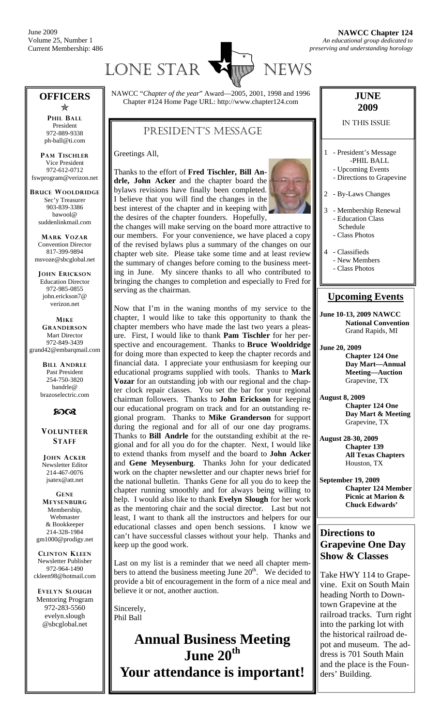June 2009 Volume 25, Number 1 Current Membership: 486



#### **OFFICERS**   $\frac{1}{2}$

**PHIL BALL** President 972-889-9338 ph-ball@ti.com

**PAM TISCHLER** Vice President 972-612-0712 fswprogram@verizon.net

**BRUCE WOOLDRIDGE** Sec'y Treasurer 903-839-3386 bawool@ suddenlinkmail.com

**MARK VOZAR** Convention Director 817-399-9894 msvoze@sbcglobal.net

**JOHN ERICKSON** Education Director 972-985-0855 john.erickson7@ verizon.net

**MIKE GRANDERSON** Mart Director 972-849-3439 grand42@embarqmail.com

> **BILL ANDRLE** Past President 254-750-3820 bandrle@ brazoselectric.com

### $60<sup>o</sup>$

**VOLUNTEER STAFF**

**JOHN ACKER** Newsletter Editor 214-467-0076 jsatex@att.net

**GENE MEYSENBURG** Membership, Webmaster & Bookkeeper 214-328-1984 gm1000@prodigy.net

**CLINTON KLEEN** Newsletter Publisher 972-964-1490 ckleen98@hotmail.com

**EVELYN SLOUGH** Mentoring Program 972-283-5560 evelyn.slough @sbcglobal.net

NAWCC "*Chapter of the year*" Award—2005, 2001, 1998 and 1996 Chapter #124 Home Page URL: http://www.chapter124.com

### PRESIDENT'S MESSAGE

Greetings All,

Thanks to the effort of **Fred Tischler, Bill Andrle, John Acker** and the chapter board the bylaws revisions have finally been completed. I believe that you will find the changes in the best interest of the chapter and in keeping with the desires of the chapter founders. Hopefully,



the changes will make serving on the board more attractive to our members. For your convenience, we have placed a copy of the revised bylaws plus a summary of the changes on our chapter web site. Please take some time and at least review the summary of changes before coming to the business meeting in June. My sincere thanks to all who contributed to bringing the changes to completion and especially to Fred for serving as the chairman.

Now that I'm in the waning months of my service to the chapter, I would like to take this opportunity to thank the chapter members who have made the last two years a pleasure. First, I would like to thank **Pam Tischler** for her perspective and encouragement. Thanks to **Bruce Wooldridge** for doing more than expected to keep the chapter records and financial data. I appreciate your enthusiasm for keeping our educational programs supplied with tools. Thanks to **Mark Vozar** for an outstanding job with our regional and the chapter clock repair classes. You set the bar for your regional chairman followers. Thanks to **John Erickson** for keeping our educational program on track and for an outstanding regional program. Thanks to **Mike Granderson** for support during the regional and for all of our one day programs. Thanks to **Bill Andrle** for the outstanding exhibit at the regional and for all you do for the chapter. Next, I would like to extend thanks from myself and the board to **John Acker**  and **Gene Meysenburg**. Thanks John for your dedicated work on the chapter newsletter and our chapter news brief for the national bulletin. Thanks Gene for all you do to keep the chapter running smoothly and for always being willing to help. I would also like to thank **Evelyn Slough** for her work as the mentoring chair and the social director. Last but not least, I want to thank all the instructors and helpers for our educational classes and open bench sessions. I know we can't have successful classes without your help. Thanks and keep up the good work.

Last on my list is a reminder that we need all chapter members to attend the business meeting June  $20<sup>th</sup>$ . We decided to provide a bit of encouragement in the form of a nice meal and believe it or not, another auction.

Sincerely, Phil Ball

**Annual Business Meeting June 20th** 

**Your attendance is important!** 

#### **JUNE 2009**

#### IN THIS ISSUE

- 1 President's Message -PHIL BALL
	- Upcoming Events
	- Directions to Grapevine
- 2 By-Laws Changes
- 3 Membership Renewal - Education Class Schedule
	- Class Photos
- 4 Classifieds - New Members
	- Class Photos

#### **Upcoming Events**

**June 10-13, 2009 NAWCC National Convention** Grand Rapids, MI

**June 20, 2009 Chapter 124 One Day Mart—Annual Meeting—Auction**  Grapevine, TX

**August 8, 2009 Chapter 124 One Day Mart & Meeting**  Grapevine, TX

**August 28-30, 2009 Chapter 139 All Texas Chapters**  Houston, TX

**September 19, 2009 Chapter 124 Member Picnic at Marion & Chuck Edwards'** 

#### **Directions to Grapevine One Day Show & Classes**

Take HWY 114 to Grapevine. Exit on South Main heading North to Downtown Grapevine at the railroad tracks. Turn right into the parking lot with the historical railroad depot and museum. The address is 701 South Main and the place is the Founders' Building.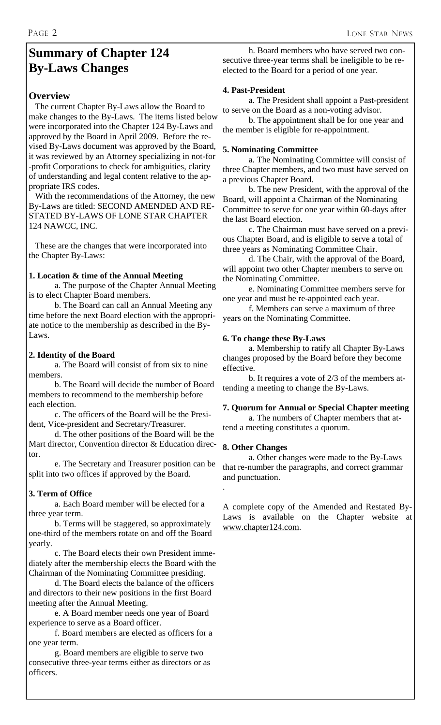## **Summary of Chapter 124 By-Laws Changes**

#### **Overview**

 The current Chapter By-Laws allow the Board to make changes to the By-Laws. The items listed below were incorporated into the Chapter 124 By-Laws and approved by the Board in April 2009. Before the revised By-Laws document was approved by the Board, it was reviewed by an Attorney specializing in not-for -profit Corporations to check for ambiguities, clarity of understanding and legal content relative to the appropriate IRS codes.

 With the recommendations of the Attorney, the new By-Laws are titled: SECOND AMENDED AND RE-STATED BY-LAWS OF LONE STAR CHAPTER 124 NAWCC, INC.

 These are the changes that were incorporated into the Chapter By-Laws:

#### **1. Location & time of the Annual Meeting**

 a. The purpose of the Chapter Annual Meeting is to elect Chapter Board members.

 b. The Board can call an Annual Meeting any time before the next Board election with the appropriate notice to the membership as described in the By-Laws.

#### **2. Identity of the Board**

 a. The Board will consist of from six to nine members.

 b. The Board will decide the number of Board members to recommend to the membership before each election.

 c. The officers of the Board will be the President, Vice-president and Secretary/Treasurer.

 d. The other positions of the Board will be the Mart director, Convention director & Education director.

 e. The Secretary and Treasurer position can be split into two offices if approved by the Board.

#### **3. Term of Office**

 a. Each Board member will be elected for a three year term.

 b. Terms will be staggered, so approximately one-third of the members rotate on and off the Board yearly.

 c. The Board elects their own President immediately after the membership elects the Board with the Chairman of the Nominating Committee presiding.

 d. The Board elects the balance of the officers and directors to their new positions in the first Board meeting after the Annual Meeting.

 e. A Board member needs one year of Board experience to serve as a Board officer.

 f. Board members are elected as officers for a one year term.

 g. Board members are eligible to serve two consecutive three-year terms either as directors or as officers.

 h. Board members who have served two consecutive three-year terms shall be ineligible to be reelected to the Board for a period of one year.

#### **4. Past-President**

 a. The President shall appoint a Past-president to serve on the Board as a non-voting advisor.

 b. The appointment shall be for one year and the member is eligible for re-appointment.

#### **5. Nominating Committee**

 a. The Nominating Committee will consist of three Chapter members, and two must have served on a previous Chapter Board.

 b. The new President, with the approval of the Board, will appoint a Chairman of the Nominating Committee to serve for one year within 60-days after the last Board election.

 c. The Chairman must have served on a previous Chapter Board, and is eligible to serve a total of three years as Nominating Committee Chair.

 d. The Chair, with the approval of the Board, will appoint two other Chapter members to serve on the Nominating Committee.

 e. Nominating Committee members serve for one year and must be re-appointed each year.

 f. Members can serve a maximum of three years on the Nominating Committee.

#### **6. To change these By-Laws**

 a. Membership to ratify all Chapter By-Laws changes proposed by the Board before they become effective.

 b. It requires a vote of 2/3 of the members attending a meeting to change the By-Laws.

#### **7. Quorum for Annual or Special Chapter meeting**

 a. The numbers of Chapter members that attend a meeting constitutes a quorum.

#### **8. Other Changes**

.

 a. Other changes were made to the By-Laws that re-number the paragraphs, and correct grammar and punctuation.

A complete copy of the Amended and Restated By-Laws is available on the Chapter website at www.chapter124.com.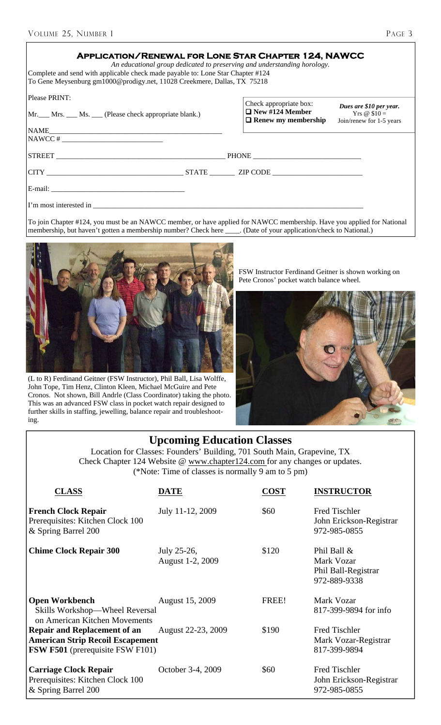| ٠ |  |
|---|--|
|---|--|

| <b>APPLICATION/RENEWAL FOR LONE STAR CHAPTER 124, NAWCC</b><br>An educational group dedicated to preserving and understanding horology.<br>Complete and send with applicable check made payable to: Lone Star Chapter #124<br>To Gene Meysenburg gm1000@prodigy.net, 11028 Creekmere, Dallas, TX 75218 |  |                                                                                |                                                                            |
|--------------------------------------------------------------------------------------------------------------------------------------------------------------------------------------------------------------------------------------------------------------------------------------------------------|--|--------------------------------------------------------------------------------|----------------------------------------------------------------------------|
| Please PRINT:<br>Mr. Mrs. Ms. Chease check appropriate blank.)                                                                                                                                                                                                                                         |  | Check appropriate box:<br>$\Box$ New #124 Member<br>$\Box$ Renew my membership | Dues are \$10 per year.<br>$Yrs \; @ \; $10 =$<br>Join/renew for 1-5 years |
|                                                                                                                                                                                                                                                                                                        |  |                                                                                |                                                                            |
| $NAWCC # _______$                                                                                                                                                                                                                                                                                      |  |                                                                                |                                                                            |
|                                                                                                                                                                                                                                                                                                        |  |                                                                                |                                                                            |
|                                                                                                                                                                                                                                                                                                        |  |                                                                                |                                                                            |
|                                                                                                                                                                                                                                                                                                        |  |                                                                                |                                                                            |
|                                                                                                                                                                                                                                                                                                        |  |                                                                                |                                                                            |
|                                                                                                                                                                                                                                                                                                        |  |                                                                                |                                                                            |

To join Chapter #124, you must be an NAWCC member, or have applied for NAWCC membership. Have you applied for National membership, but haven't gotten a membership number? Check here \_\_\_\_\_. (Date of your application/check t membership, but haven't gotten a membership number? Check here



(L to R) Ferdinand Geitner (FSW Instructor), Phil Ball, Lisa Wolffe, John Tope, Tim Henz, Clinton Kleen, Michael McGuire and Pete Cronos. Not shown, Bill Andrle (Class Coordinator) taking the photo. This was an advanced FSW class in pocket watch repair designed to further skills in staffing, jewelling, balance repair and troubleshooting.

FSW Instructor Ferdinand Geitner is shown working on Pete Cronos' pocket watch balance wheel.



### **Upcoming Education Classes**

Location for Classes: Founders' Building, 701 South Main, Grapevine, TX Check Chapter 124 Website @ www.chapter124.com for any changes or updates. (\*Note: Time of classes is normally 9 am to 5 pm)

| <b>CLASS</b>                                                                                                              | DATE                            | <b>COST</b> | <b>INSTRUCTOR</b>                                                |
|---------------------------------------------------------------------------------------------------------------------------|---------------------------------|-------------|------------------------------------------------------------------|
| <b>French Clock Repair</b><br>Prerequisites: Kitchen Clock 100<br>& Spring Barrel 200                                     | July 11-12, 2009                | \$60        | <b>Fred Tischler</b><br>John Erickson-Registrar<br>972-985-0855  |
| <b>Chime Clock Repair 300</b>                                                                                             | July 25-26,<br>August 1-2, 2009 | \$120       | Phil Ball &<br>Mark Vozar<br>Phil Ball-Registrar<br>972-889-9338 |
| <b>Open Workbench</b><br>Skills Workshop-Wheel Reversal<br>on American Kitchen Movements                                  | August 15, 2009                 | FREE!       | Mark Vozar<br>817-399-9894 for info                              |
| <b>Repair and Replacement of an</b><br><b>American Strip Recoil Escapement</b><br><b>FSW F501</b> (prerequisite FSW F101) | August 22-23, 2009              | \$190       | <b>Fred Tischler</b><br>Mark Vozar-Registrar<br>817-399-9894     |
| <b>Carriage Clock Repair</b><br>Prerequisites: Kitchen Clock 100<br>& Spring Barrel 200                                   | October 3-4, 2009               | \$60        | <b>Fred Tischler</b><br>John Erickson-Registrar<br>972-985-0855  |